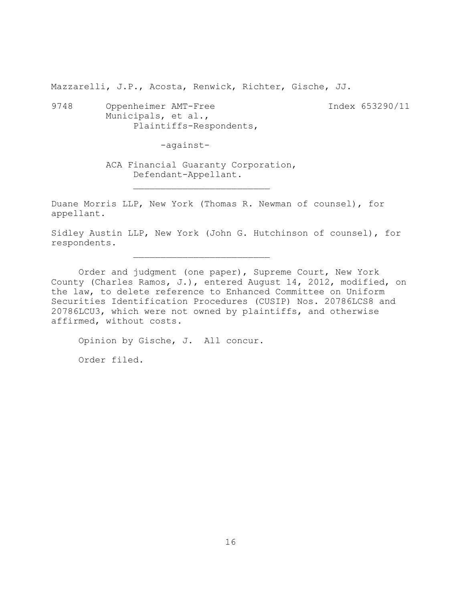Mazzarelli, J.P., Acosta, Renwick, Richter, Gische, JJ.

9748 Oppenheimer AMT-Free Index 653290/11 Municipals, et al., Plaintiffs-Respondents,

-against-

ACA Financial Guaranty Corporation, Defendant-Appellant.

 $\mathcal{L}_\text{max}$ 

 $\mathcal{L}_\text{max}$ 

Duane Morris LLP, New York (Thomas R. Newman of counsel), for appellant.

Sidley Austin LLP, New York (John G. Hutchinson of counsel), for respondents.

Order and judgment (one paper), Supreme Court, New York County (Charles Ramos, J.), entered August 14, 2012, modified, on the law, to delete reference to Enhanced Committee on Uniform Securities Identification Procedures (CUSIP) Nos. 20786LCS8 and 20786LCU3, which were not owned by plaintiffs, and otherwise affirmed, without costs.

Opinion by Gische, J. All concur. Order filed.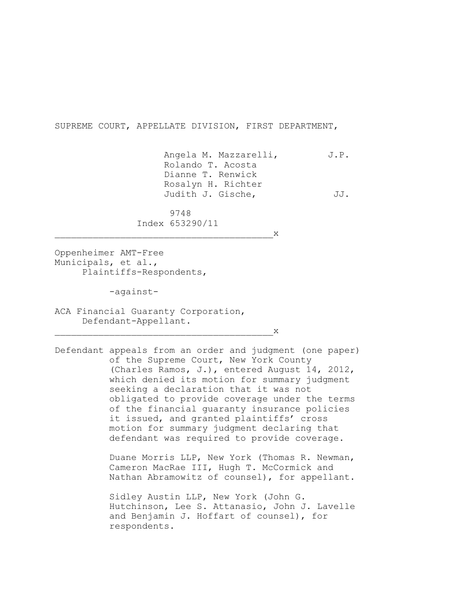SUPREME COURT, APPELLATE DIVISION, FIRST DEPARTMENT,

Angela M. Mazzarelli, J.P. Rolando T. Acosta Dianne T. Renwick Rosalyn H. Richter Judith J. Gische, JJ.

 9748 Index 653290/11

 $X$ 

Oppenheimer AMT-Free Municipals, et al., Plaintiffs-Respondents,

-against-

ACA Financial Guaranty Corporation, Defendant-Appellant.

 $\mathbf x$ 

Defendant appeals from an order and judgment (one paper) of the Supreme Court, New York County (Charles Ramos, J.), entered August 14, 2012, which denied its motion for summary judgment seeking a declaration that it was not obligated to provide coverage under the terms of the financial guaranty insurance policies it issued, and granted plaintiffs' cross motion for summary judgment declaring that defendant was required to provide coverage.

> Duane Morris LLP, New York (Thomas R. Newman, Cameron MacRae III, Hugh T. McCormick and Nathan Abramowitz of counsel), for appellant.

> Sidley Austin LLP, New York (John G. Hutchinson, Lee S. Attanasio, John J. Lavelle and Benjamin J. Hoffart of counsel), for respondents.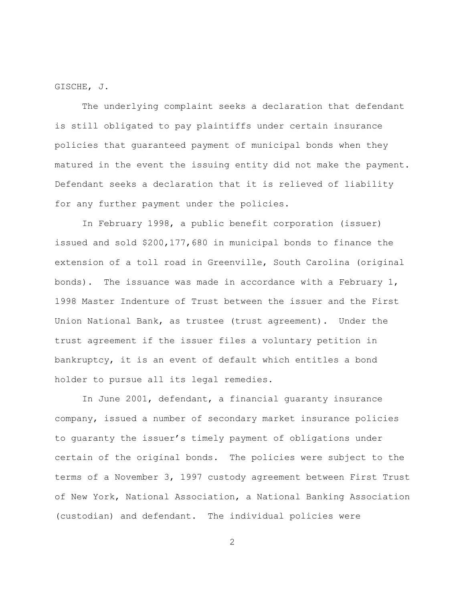GISCHE, J.

The underlying complaint seeks a declaration that defendant is still obligated to pay plaintiffs under certain insurance policies that guaranteed payment of municipal bonds when they matured in the event the issuing entity did not make the payment. Defendant seeks a declaration that it is relieved of liability for any further payment under the policies.

In February 1998, a public benefit corporation (issuer) issued and sold \$200,177,680 in municipal bonds to finance the extension of a toll road in Greenville, South Carolina (original bonds). The issuance was made in accordance with a February  $1$ , 1998 Master Indenture of Trust between the issuer and the First Union National Bank, as trustee (trust agreement). Under the trust agreement if the issuer files a voluntary petition in bankruptcy, it is an event of default which entitles a bond holder to pursue all its legal remedies.

In June 2001, defendant, a financial guaranty insurance company, issued a number of secondary market insurance policies to guaranty the issuer's timely payment of obligations under certain of the original bonds. The policies were subject to the terms of a November 3, 1997 custody agreement between First Trust of New York, National Association, a National Banking Association (custodian) and defendant. The individual policies were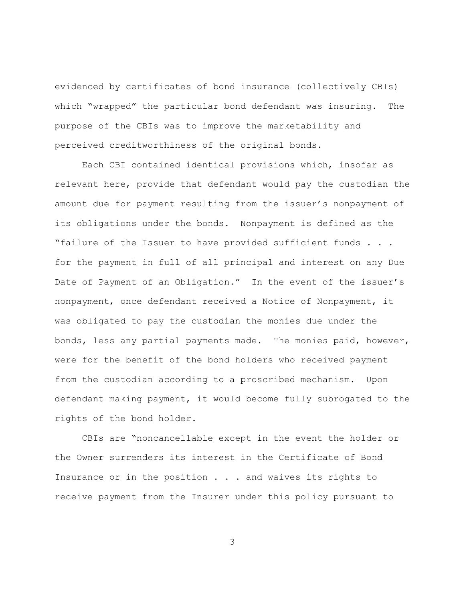evidenced by certificates of bond insurance (collectively CBIs) which "wrapped" the particular bond defendant was insuring. The purpose of the CBIs was to improve the marketability and perceived creditworthiness of the original bonds.

Each CBI contained identical provisions which, insofar as relevant here, provide that defendant would pay the custodian the amount due for payment resulting from the issuer's nonpayment of its obligations under the bonds. Nonpayment is defined as the "failure of the Issuer to have provided sufficient funds . . . for the payment in full of all principal and interest on any Due Date of Payment of an Obligation." In the event of the issuer's nonpayment, once defendant received a Notice of Nonpayment, it was obligated to pay the custodian the monies due under the bonds, less any partial payments made. The monies paid, however, were for the benefit of the bond holders who received payment from the custodian according to a proscribed mechanism. Upon defendant making payment, it would become fully subrogated to the rights of the bond holder.

CBIs are "noncancellable except in the event the holder or the Owner surrenders its interest in the Certificate of Bond Insurance or in the position . . . and waives its rights to receive payment from the Insurer under this policy pursuant to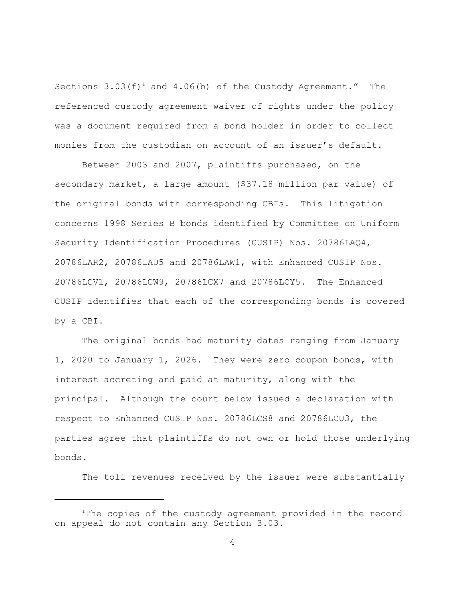Sections  $3.03(f)^1$  and  $4.06(b)$  of the Custody Agreement." The referenced custody agreement waiver of rights under the policy was a document required from a bond holder in order to collect monies from the custodian on account of an issuer's default.

Between 2003 and 2007, plaintiffs purchased, on the secondary market, a large amount (\$37.18 million par value) of the original bonds with corresponding CBIs. This litigation concerns 1998 Series B bonds identified by Committee on Uniform Security Identification Procedures (CUSIP) Nos. 20786LAQ4, 20786LAR2, 20786LAU5 and 20786LAW1, with Enhanced CUSIP Nos. 20786LCV1, 20786LCW9, 20786LCX7 and 20786LCY5. The Enhanced CUSIP identifies that each of the corresponding bonds is covered by a CBI.

The original bonds had maturity dates ranging from January 1, 2020 to January 1, 2026. They were zero coupon bonds, with interest accreting and paid at maturity, along with the principal. Although the court below issued a declaration with respect to Enhanced CUSIP Nos. 20786LCS8 and 20786LCU3, the parties agree that plaintiffs do not own or hold those underlying bonds.

The toll revenues received by the issuer were substantially

 $1$ The copies of the custody agreement provided in the record on appeal do not contain any Section 3.03.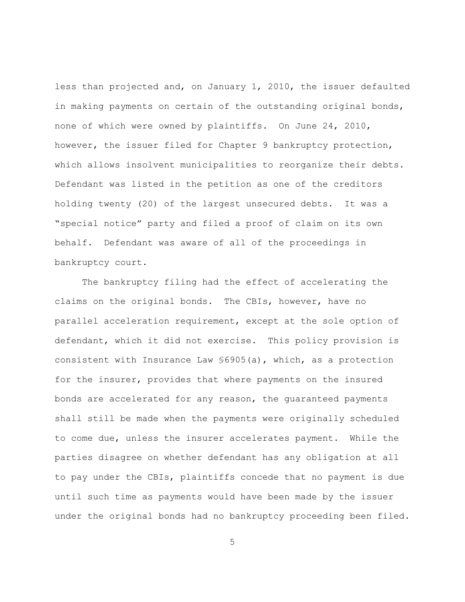less than projected and, on January 1, 2010, the issuer defaulted in making payments on certain of the outstanding original bonds, none of which were owned by plaintiffs. On June 24, 2010, however, the issuer filed for Chapter 9 bankruptcy protection, which allows insolvent municipalities to reorganize their debts. Defendant was listed in the petition as one of the creditors holding twenty (20) of the largest unsecured debts. It was a "special notice" party and filed a proof of claim on its own behalf. Defendant was aware of all of the proceedings in bankruptcy court.

The bankruptcy filing had the effect of accelerating the claims on the original bonds. The CBIs, however, have no parallel acceleration requirement, except at the sole option of defendant, which it did not exercise. This policy provision is consistent with Insurance Law §6905(a), which, as a protection for the insurer, provides that where payments on the insured bonds are accelerated for any reason, the guaranteed payments shall still be made when the payments were originally scheduled to come due, unless the insurer accelerates payment. While the parties disagree on whether defendant has any obligation at all to pay under the CBIs, plaintiffs concede that no payment is due until such time as payments would have been made by the issuer under the original bonds had no bankruptcy proceeding been filed.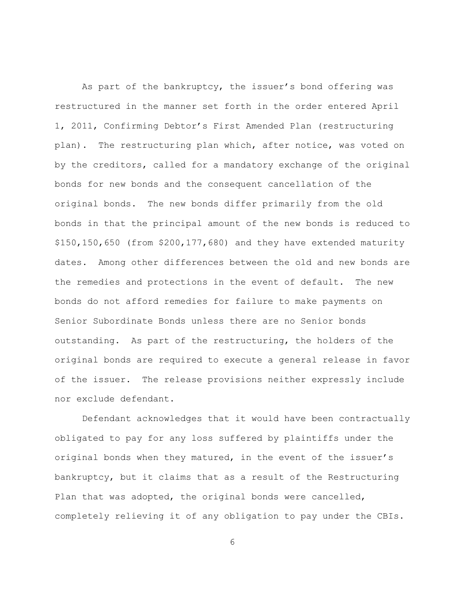As part of the bankruptcy, the issuer's bond offering was restructured in the manner set forth in the order entered April 1, 2011, Confirming Debtor's First Amended Plan (restructuring plan). The restructuring plan which, after notice, was voted on by the creditors, called for a mandatory exchange of the original bonds for new bonds and the consequent cancellation of the original bonds. The new bonds differ primarily from the old bonds in that the principal amount of the new bonds is reduced to \$150,150,650 (from \$200,177,680) and they have extended maturity dates. Among other differences between the old and new bonds are the remedies and protections in the event of default. The new bonds do not afford remedies for failure to make payments on Senior Subordinate Bonds unless there are no Senior bonds outstanding. As part of the restructuring, the holders of the original bonds are required to execute a general release in favor of the issuer. The release provisions neither expressly include nor exclude defendant.

Defendant acknowledges that it would have been contractually obligated to pay for any loss suffered by plaintiffs under the original bonds when they matured, in the event of the issuer's bankruptcy, but it claims that as a result of the Restructuring Plan that was adopted, the original bonds were cancelled, completely relieving it of any obligation to pay under the CBIs.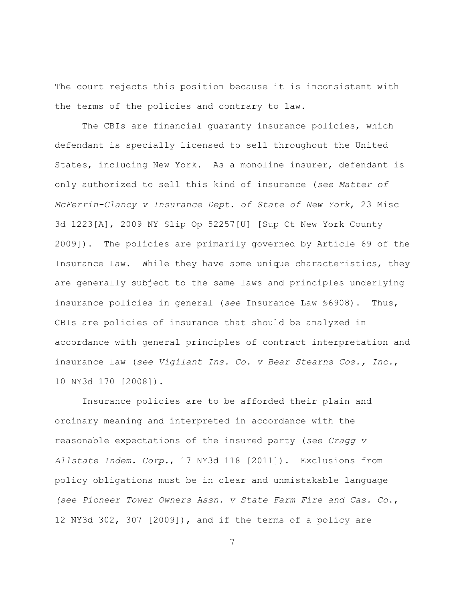The court rejects this position because it is inconsistent with the terms of the policies and contrary to law.

The CBIs are financial quaranty insurance policies, which defendant is specially licensed to sell throughout the United States, including New York. As a monoline insurer, defendant is only authorized to sell this kind of insurance (*see Matter of McFerrin-Clancy v Insurance Dept. of State of New York*, 23 Misc 3d 1223[A], 2009 NY Slip Op 52257[U] [Sup Ct New York County 2009]). The policies are primarily governed by Article 69 of the Insurance Law. While they have some unique characteristics, they are generally subject to the same laws and principles underlying insurance policies in general (*see* Insurance Law §6908). Thus, CBIs are policies of insurance that should be analyzed in accordance with general principles of contract interpretation and insurance law (*see Vigilant Ins. Co. v Bear Stearns Cos., Inc.*, 10 NY3d 170 [2008]).

Insurance policies are to be afforded their plain and ordinary meaning and interpreted in accordance with the reasonable expectations of the insured party (*see Cragg v Allstate Indem. Corp.*, 17 NY3d 118 [2011]). Exclusions from policy obligations must be in clear and unmistakable language *(see Pioneer Tower Owners Assn. v State Farm Fire and Cas. Co*., 12 NY3d 302, 307 [2009]), and if the terms of a policy are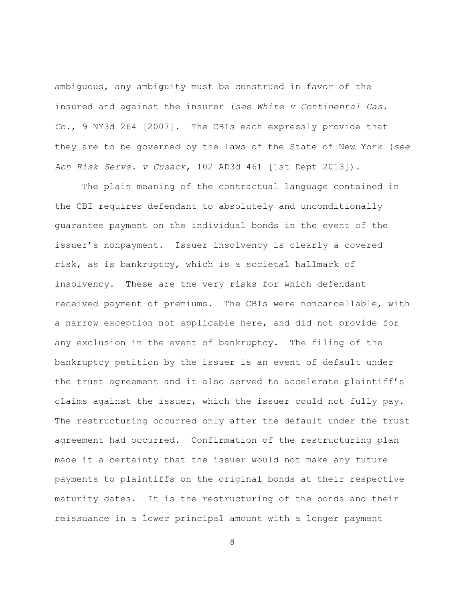ambiguous, any ambiguity must be construed in favor of the insured and against the insurer (*see White v Continental Cas. Co.*, 9 NY3d 264 [2007]. The CBIs each expressly provide that they are to be governed by the laws of the State of New York (*see Aon Risk Servs. v Cusack*, 102 AD3d 461 [1st Dept 2013]).

The plain meaning of the contractual language contained in the CBI requires defendant to absolutely and unconditionally guarantee payment on the individual bonds in the event of the issuer's nonpayment. Issuer insolvency is clearly a covered risk, as is bankruptcy, which is a societal hallmark of insolvency. These are the very risks for which defendant received payment of premiums. The CBIs were noncancellable, with a narrow exception not applicable here, and did not provide for any exclusion in the event of bankruptcy. The filing of the bankruptcy petition by the issuer is an event of default under the trust agreement and it also served to accelerate plaintiff's claims against the issuer, which the issuer could not fully pay. The restructuring occurred only after the default under the trust agreement had occurred. Confirmation of the restructuring plan made it a certainty that the issuer would not make any future payments to plaintiffs on the original bonds at their respective maturity dates. It is the restructuring of the bonds and their reissuance in a lower principal amount with a longer payment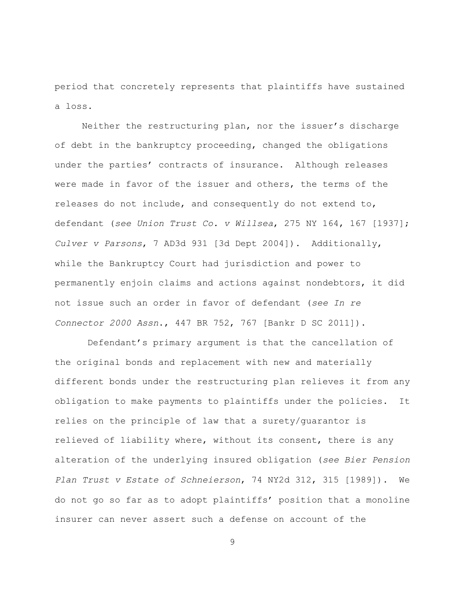period that concretely represents that plaintiffs have sustained a loss.

Neither the restructuring plan, nor the issuer's discharge of debt in the bankruptcy proceeding, changed the obligations under the parties' contracts of insurance. Although releases were made in favor of the issuer and others, the terms of the releases do not include, and consequently do not extend to, defendant (*see Union Trust Co. v Willsea*, 275 NY 164, 167 [1937]; *Culver v Parsons*, 7 AD3d 931 [3d Dept 2004]). Additionally, while the Bankruptcy Court had jurisdiction and power to permanently enjoin claims and actions against nondebtors, it did not issue such an order in favor of defendant (*see In re Connector 2000 Assn*., 447 BR 752, 767 [Bankr D SC 2011]).

 Defendant's primary argument is that the cancellation of the original bonds and replacement with new and materially different bonds under the restructuring plan relieves it from any obligation to make payments to plaintiffs under the policies. It relies on the principle of law that a surety/guarantor is relieved of liability where, without its consent, there is any alteration of the underlying insured obligation (*see Bier Pension Plan Trust v Estate of Schneierson*, 74 NY2d 312, 315 [1989]). We do not go so far as to adopt plaintiffs' position that a monoline insurer can never assert such a defense on account of the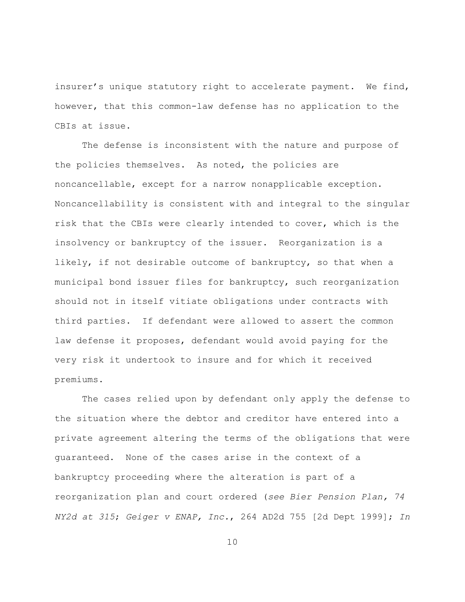insurer's unique statutory right to accelerate payment. We find, however, that this common-law defense has no application to the CBIs at issue.

The defense is inconsistent with the nature and purpose of the policies themselves. As noted, the policies are noncancellable, except for a narrow nonapplicable exception. Noncancellability is consistent with and integral to the singular risk that the CBIs were clearly intended to cover, which is the insolvency or bankruptcy of the issuer. Reorganization is a likely, if not desirable outcome of bankruptcy, so that when a municipal bond issuer files for bankruptcy, such reorganization should not in itself vitiate obligations under contracts with third parties. If defendant were allowed to assert the common law defense it proposes, defendant would avoid paying for the very risk it undertook to insure and for which it received premiums.

The cases relied upon by defendant only apply the defense to the situation where the debtor and creditor have entered into a private agreement altering the terms of the obligations that were guaranteed. None of the cases arise in the context of a bankruptcy proceeding where the alteration is part of a reorganization plan and court ordered (*see Bier Pension Plan, 74 NY2d at 315*; *Geiger v ENAP, Inc.*, 264 AD2d 755 [2d Dept 1999]; *In*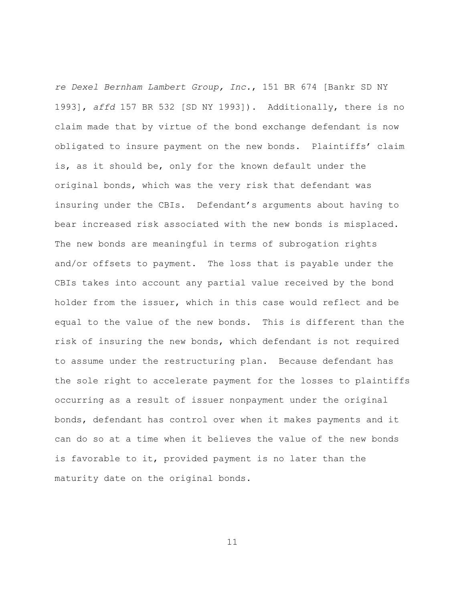*re Dexel Bernham Lambert Group, Inc.*, 151 BR 674 [Bankr SD NY 1993], *affd* 157 BR 532 [SD NY 1993]). Additionally, there is no claim made that by virtue of the bond exchange defendant is now obligated to insure payment on the new bonds. Plaintiffs' claim is, as it should be, only for the known default under the original bonds, which was the very risk that defendant was insuring under the CBIs. Defendant's arguments about having to bear increased risk associated with the new bonds is misplaced. The new bonds are meaningful in terms of subrogation rights and/or offsets to payment. The loss that is payable under the CBIs takes into account any partial value received by the bond holder from the issuer, which in this case would reflect and be equal to the value of the new bonds. This is different than the risk of insuring the new bonds, which defendant is not required to assume under the restructuring plan. Because defendant has the sole right to accelerate payment for the losses to plaintiffs occurring as a result of issuer nonpayment under the original bonds, defendant has control over when it makes payments and it can do so at a time when it believes the value of the new bonds is favorable to it, provided payment is no later than the maturity date on the original bonds.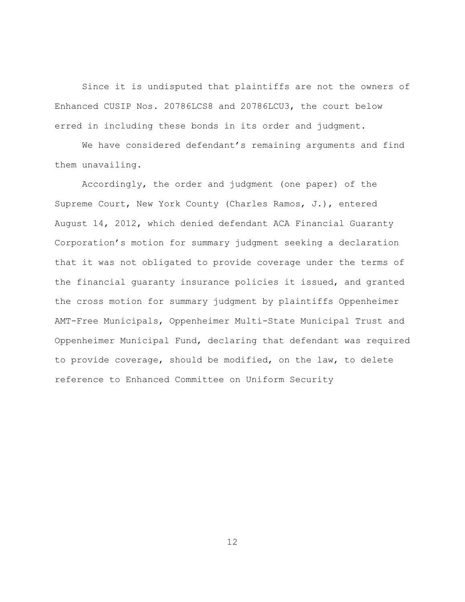Since it is undisputed that plaintiffs are not the owners of Enhanced CUSIP Nos. 20786LCS8 and 20786LCU3, the court below erred in including these bonds in its order and judgment.

We have considered defendant's remaining arguments and find them unavailing.

Accordingly, the order and judgment (one paper) of the Supreme Court, New York County (Charles Ramos, J.), entered August 14, 2012, which denied defendant ACA Financial Guaranty Corporation's motion for summary judgment seeking a declaration that it was not obligated to provide coverage under the terms of the financial guaranty insurance policies it issued, and granted the cross motion for summary judgment by plaintiffs Oppenheimer AMT-Free Municipals, Oppenheimer Multi-State Municipal Trust and Oppenheimer Municipal Fund, declaring that defendant was required to provide coverage, should be modified, on the law, to delete reference to Enhanced Committee on Uniform Security